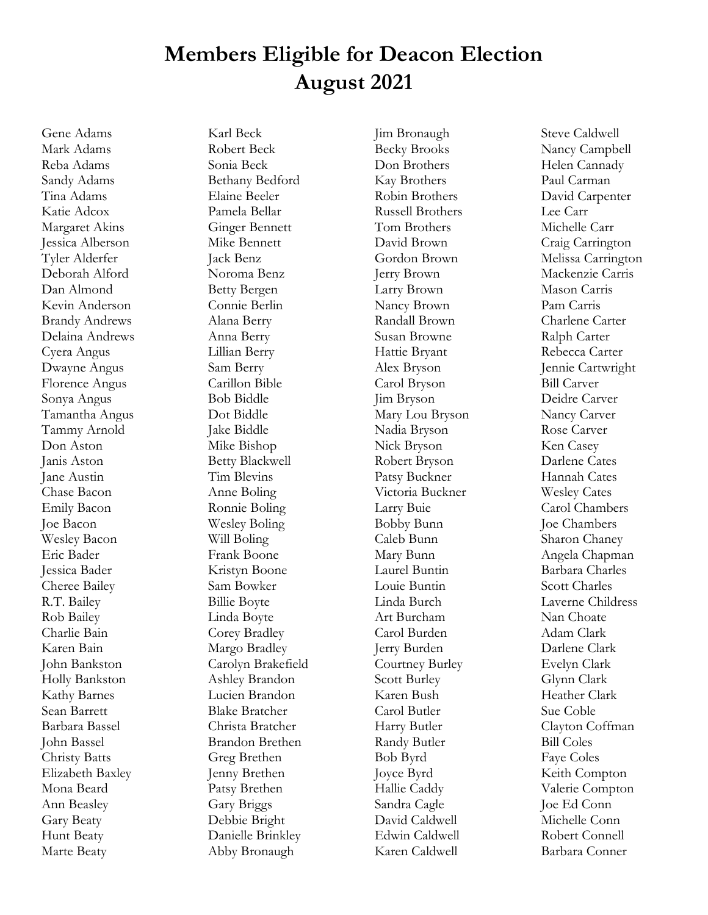## **Members Eligible for Deacon Election August 2021**

Gene Adams Mark Adams Reba Adams Sandy Adams Tina Adams Katie Adcox Margaret Akins Jessica Alberson Tyler Alderfer Deborah Alford Dan Almond Kevin Anderson Brandy Andrews Delaina Andrews Cyera Angus Dwayne Angus Florence Angus Sonya Angus Tamantha Angus Tammy Arnold Don Aston Janis Aston Jane Austin Chase Bacon Emily Bacon Joe Bacon Wesley Bacon Eric Bader Jessica Bader Cheree Bailey R.T. Bailey Rob Bailey Charlie Bain Karen Bain John Bankston Holly Bankston Kathy Barnes Sean Barrett Barbara Bassel John Bassel Christy Batts Elizabeth Baxley Mona Beard Ann Beasley Gary Beaty Hunt Beaty Marte Beaty

Karl Beck Robert Beck Sonia Beck Bethany Bedford Elaine Beeler Pamela Bellar Ginger Bennett Mike Bennett Jack Benz Noroma Benz Betty Bergen Connie Berlin Alana Berry Anna Berry Lillian Berry Sam Berry Carillon Bible Bob Biddle Dot Biddle Jake Biddle Mike Bishop Betty Blackwell Tim Blevins Anne Boling Ronnie Boling Wesley Boling Will Boling Frank Boone Kristyn Boone Sam Bowker Billie Boyte Linda Boyte Corey Bradley Margo Bradley Carolyn Brakefield Ashley Brandon Lucien Brandon Blake Bratcher Christa Bratcher Brandon Brethen Greg Brethen Jenny Brethen Patsy Brethen Gary Briggs Debbie Bright Danielle Brinkley Abby Bronaugh

Jim Bronaugh Becky Brooks Don Brothers Kay Brothers Robin Brothers Russell Brothers Tom Brothers David Brown Gordon Brown Jerry Brown Larry Brown Nancy Brown Randall Brown Susan Browne Hattie Bryant Alex Bryson Carol Bryson Jim Bryson Mary Lou Bryson Nadia Bryson Nick Bryson Robert Bryson Patsy Buckner Victoria Buckner Larry Buie Bobby Bunn Caleb Bunn Mary Bunn Laurel Buntin Louie Buntin Linda Burch Art Burcham Carol Burden Jerry Burden Courtney Burley Scott Burley Karen Bush Carol Butler Harry Butler Randy Butler Bob Byrd Joyce Byrd Hallie Caddy Sandra Cagle David Caldwell Edwin Caldwell Karen Caldwell

Steve Caldwell Nancy Campbell Helen Cannady Paul Carman David Carpenter Lee Carr Michelle Carr Craig Carrington Melissa Carrington Mackenzie Carris Mason Carris Pam Carris Charlene Carter Ralph Carter Rebecca Carter Jennie Cartwright Bill Carver Deidre Carver Nancy Carver Rose Carver Ken Casey Darlene Cates Hannah Cates Wesley Cates Carol Chambers Joe Chambers Sharon Chaney Angela Chapman Barbara Charles Scott Charles Laverne Childress Nan Choate Adam Clark Darlene Clark Evelyn Clark Glynn Clark Heather Clark Sue Coble Clayton Coffman Bill Coles Faye Coles Keith Compton Valerie Compton Joe Ed Conn Michelle Conn Robert Connell Barbara Conner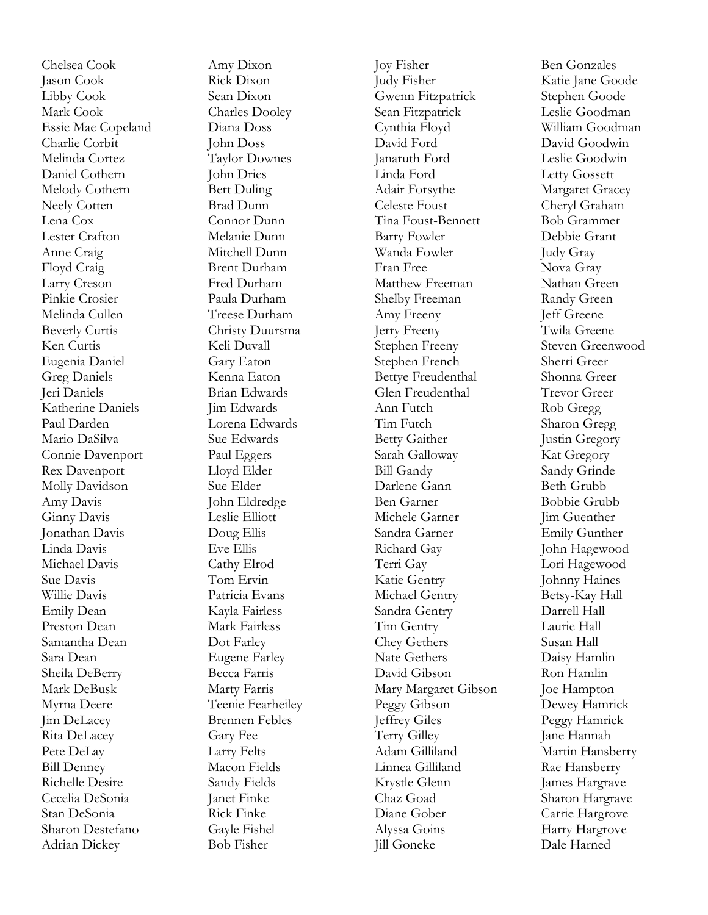Chelsea Cook Jason Cook Libby Cook Mark Cook Essie Mae Copeland Charlie Corbit Melinda Cortez Daniel Cothern Melody Cothern Neely Cotten Lena Cox Lester Crafton Anne Craig Floyd Craig Larry Creson Pinkie Crosier Melinda Cullen Beverly Curtis Ken Curtis Eugenia Daniel Greg Daniels Jeri Daniels Katherine Daniels Paul Darden Mario DaSilva Connie Davenport Rex Davenport Molly Davidson Amy Davis Ginny Davis Jonathan Davis Linda Davis Michael Davis Sue Davis Willie Davis Emily Dean Preston Dean Samantha Dean Sara Dean Sheila DeBerry Mark DeBusk Myrna Deere Jim DeLacey Rita DeLacey Pete DeLay Bill Denney Richelle Desire Cecelia DeSonia Stan DeSonia Sharon Destefano Adrian Dickey

Amy Dixo n Rick Dixon Sean Dixon Charles Dooley Diana Doss John Doss Taylor Downes John Dries Bert Duling Brad Dunn Connor Dunn Melanie Dunn Mitchell Dunn Brent Durham Fred Durham Paula Durham Treese Durham Christy Duursma Keli Duvall Gary Eaton Kenna Eaton Brian Edwards Jim Edwards Lorena Edwards Sue Edwards Paul Eggers Lloyd Elder Sue Elder John Eldredge Leslie Elliott Doug Ellis Eve Ellis Cathy Elrod Tom Ervin Patricia Evans Kayla Fairless Mark Fairless Dot Farley Eugene Farley Becca Farris Marty Farris Teenie Fearheiley Brennen Febles Gary Fee Larry Felts Macon Fields Sandy Fields Janet Finke Rick Finke Gayle Fishel Bob Fisher

Joy Fisher Judy Fisher Gwenn Fitzpatrick Sean Fitzpatrick Cynthia Floyd David Ford Janaruth Ford Linda Ford Adair Forsythe Celeste Foust Tina Foust -Bennett Barry Fowler Wanda Fowler Fran Free Matthew Freeman Shelby Freeman Amy Freeny Jerry Freeny Stephen Freeny Stephen French Bettye Freudenthal Glen Freudenthal Ann Futch Tim Futch Betty Gaither Sarah Galloway Bill Gandy Darlene Gann Ben Garner Michele Garner Sandra Garner Richard Gay Terri Gay Katie Gentry Michael Gentry Sandra Gentry Tim Gentry Chey Gethers Nate Gethers David Gibson Mary Margaret Gibson Peggy Gibson Jeffrey Giles Terry Gilley Adam Gilliland Linnea Gilliland Krystle Glenn Chaz Goad Diane Gober Alyssa Goins Jill Goneke

Ben Gonzales Katie Jane Goode Stephen Goode Leslie Goodman William Goodman David Goodwin Leslie Goodwin Letty Gossett Margaret Gracey Cheryl Graham Bob Grammer Debbie Grant Judy Gray Nova Gray Nathan Green Randy Green Jeff Greene Twila Greene Steven Greenwood Sherri Greer Shonna Greer Trevor Greer Rob Gregg Sharon Gregg Justin Gregory Kat Gregory Sandy Grinde Beth Grubb Bobbie Grubb Jim Guenther Emily Gunther John Hagewood Lori Hagewood Johnny Haines Betsy -Kay Hall Darrell Hall Laurie Hall Susan Hall Daisy Hamlin Ron Hamlin Joe Hampton Dewey Hamrick Peggy Hamrick Jane Hannah Martin Hansberry Rae Hansberry James Hargrave Sharon Hargrave Carrie Hargrove Harry Hargrove Dale Harned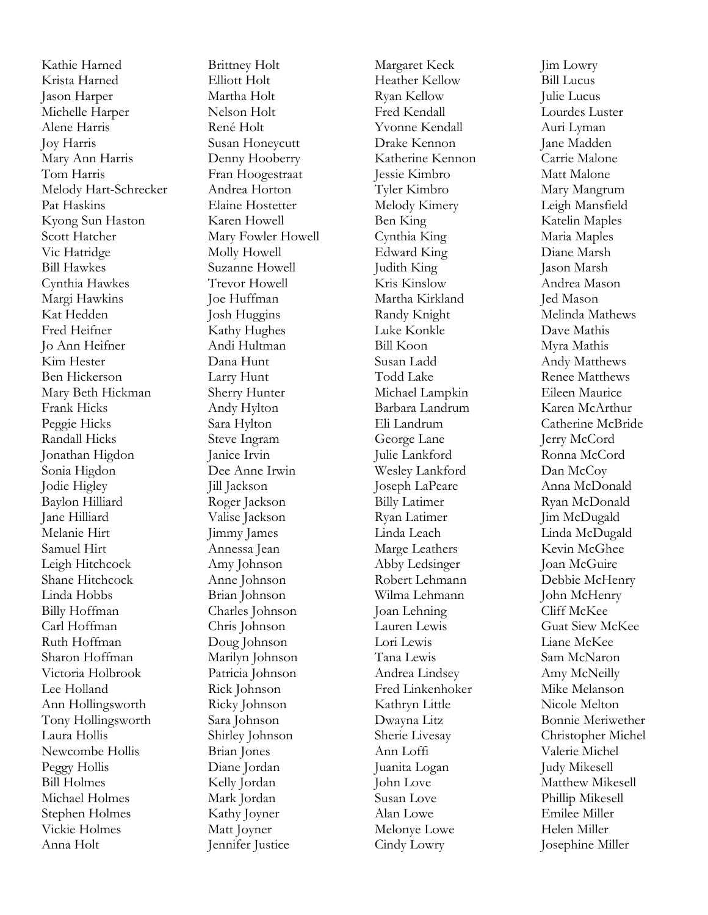Kathie Harned Krista Harned Jason Harper Michelle Harper Alene Harris Joy Harris Mary Ann Harris Tom Harris Melody Hart -Schrecker Pat Haskins Kyong Sun Haston Scott Hatcher Vic Hatridge Bill Hawkes Cynthia Hawkes Margi Hawkins Kat Hedden Fred Heifne r Jo Ann Heifner Kim Hester Ben Hickerson Mary Beth Hickman Frank Hicks Peggie Hicks Randall Hicks Jonathan Higdon Sonia Higdon Jodie Higley Baylon Hilliard Jane Hilliard Melanie Hirt Samuel Hirt Leigh Hitchcock Shane Hitchcock Linda Hobbs Billy Hoffman Carl Hoffman Ruth Hoffman Sharon Hoffman Victoria Holbrook Lee Holland Ann Hollingsworth Tony Hollingsworth Laura Hollis Newcombe Hollis Peggy Hollis Bill Holmes Michael Holmes Stephen Holmes Vickie Holmes Anna Holt

Brittney Holt Elliott Holt Martha Holt Nelson Holt René Holt Susan Honeycutt Denny Hooberry Fran Hoogestraat Andrea Horton Elaine Hostetter Karen Howell Mary Fowler Howell Molly Howell Suzanne Howell Trevor Howell Joe Huffman Josh Huggins Kathy Hughes Andi Hultman Dana Hunt Larry Hunt Sherry Hunter Andy Hylton Sara Hylton Steve Ingram Janice Irvin Dee Anne Irwin Jill Jackson Roger Jackson Valise Jackson Jimmy James Annessa Jean Amy Johnson Anne Johnson Brian Johnson Charles Johnson Chris Johnson Doug Johnson Marilyn Johnson Patricia Johnson Rick Johnson Ricky Johnson Sara Johnson Shirley Johnson Brian Jones Diane Jordan Kelly Jordan Mark Jordan Kathy Joyner Matt Joyner Jennifer Justice

Margaret Keck Heather Kellow Ryan Kellow Fred Kendall Yvonne Kendall Drake Kennon Katherine Kennon Jessie Kimbro Tyler Kimbro Melody Kimery Ben King Cynthia King Edward King Judith King Kris Kinslow Martha Kirkland Randy Knight Luke Konkle Bill Koon Susan Ladd Todd Lake Michael Lampkin Barbara Landrum Eli Landrum George Lane Julie Lankford Wesley Lankford Joseph LaPeare Billy Latimer Ryan Latimer Linda Leach Marge Leathers Abby Ledsinger Robert Lehmann Wilma Lehmann Joan Lehning Lauren Lewis Lori Lewis Tana Lewis Andrea Lindsey Fred Linkenhoker Kathryn Little Dwayna Litz Sherie Livesay Ann Loffi Juanita Logan John Love Susan Love Alan Lowe Melonye Lowe Cindy Lowry

Jim Lowry Bill Lucus Julie Lucus Lourdes Luster Auri Lyman Jane Madden Carrie Malone Matt Malone Mary Mangrum Leigh Mansfield Katelin Maples Maria Maples Diane Marsh Jason Marsh Andrea Mason Jed Mason Melinda Mathews Dave Mathis Myra Mathis Andy Matthews Renee Matthews Eileen Maurice Karen McArthur Catherine McBride Jerry McCord Ronna McCord Dan McCoy Anna McDonald Ryan McDonald Jim McDugald Linda McDugald Kevin McGhee Joan McGuire Debbie McHenry John McHenry Cliff McKee Guat Siew McKee Liane McKee Sam McNaron Amy McNeilly Mike Melanson Nicole Melton Bonnie Meriwether Christopher Michel Valerie Michel Judy Mikesell Matthew Mikesell Phillip Mikesell Emilee Miller Helen Miller Josephine Miller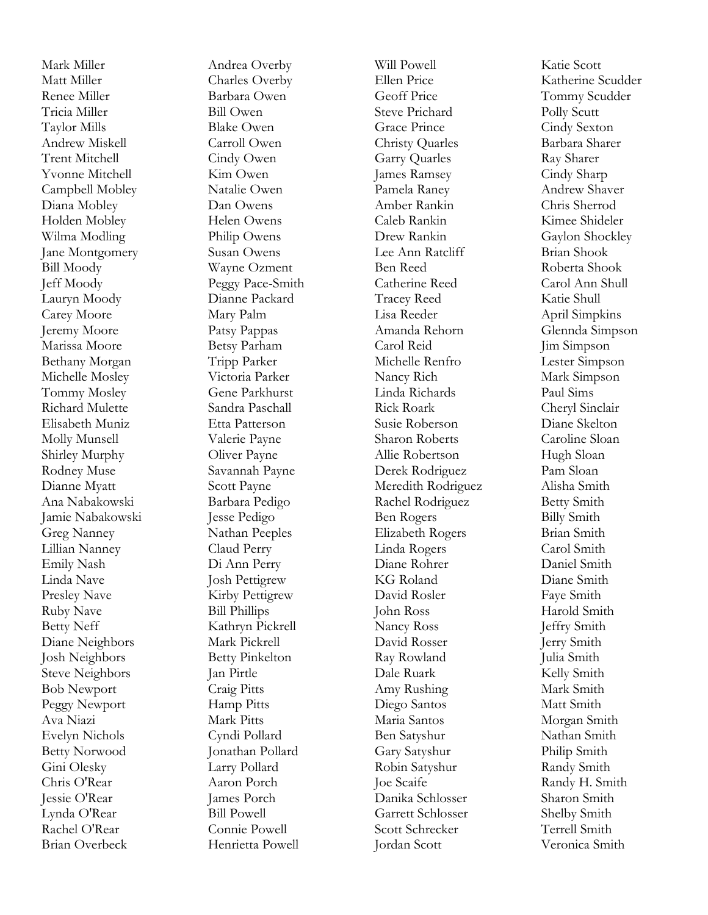Mark Miller Matt Miller Renee Miller Tricia Miller Taylor Mills Andrew Miskell Trent Mitchell Yvonne Mitchell Campbell Mobley Diana Mobley Holden Mobley Wilma Modling Jane Montgomery Bill Moody Jeff Moody Lauryn Moody Carey Moore Jeremy Moore Marissa Moore Bethany Morgan Michelle Mosley Tommy Mosley Richard Mulette Elisabeth Muniz Molly Munsell Shirley Murphy Rodney Muse Dianne Myatt Ana Nabakowski Jamie Nabakowski Greg Nanney Lillian Nanney Emily Nash Linda Nave Presley Nave Ruby Nave Betty Neff Diane Neighbors Josh Neighbors Steve Neighbors Bob Newport Peggy Newport Ava Niazi Evelyn Nichols Betty Norwood Gini Olesky Chris O'Rear Jessie O'Rear Lynda O'Rear Rachel O'Rear Brian Overbeck

Andrea Overby Charles Overby Barbara Owen Bill Owen Blake Owen Carroll Owen Cindy Owen Kim Owen Natalie Owen Dan Owens Helen Owens Philip Owens Susan Owens Wayne Ozment Peggy Pace -Smith Dianne Packard Mary Palm Patsy Pappas Betsy Parham Tripp Parker Victoria Parker Gene Parkhurst Sandra Paschall Etta Patterson Valerie Payne Oliver Payne Savannah Payne Scott Payne Barbara Pedigo Jesse Pedigo Nathan Peeples Claud Perry Di Ann Perry Josh Pettigrew Kirby Pettigrew Bill Phillips Kathryn Pickrell Mark Pickrell Betty Pinkelton Jan Pirtle Craig Pitts Hamp Pitts Mark Pitts Cyndi Pollard Jonathan Pollard Larry Pollard Aaron Porch James Porch Bill Powell Connie Powell Henrietta Powell

Will Powell Ellen Price Geoff Price Steve Prichard Grace Prince Christy Quarles Garry Quarles James Ramsey Pamela Raney Amber Rankin Caleb Rankin Drew Rankin Lee Ann Ratcliff Ben Reed Catherine Reed Tracey Reed Lisa Reeder Amanda Rehorn Carol Reid Michelle Renfro Nancy Rich Linda Richards Rick Roark Susie Roberson Sharon Roberts Allie Robertson Derek Rodriguez Meredith Rodriguez Rachel Rodriguez Ben Rogers Elizabeth Rogers Linda Rogers Diane Rohrer KG Roland David Rosler John Ross Nancy Ross David Rosser Ray Rowland Dale Ruark Amy Rushing Diego Santos Maria Santos Ben Satyshur Gary Satyshur Robin Satyshur Joe Scaife Danika Schlosser Garrett Schlosser Scott Schrecker Jordan Scott

Katie Scott Katherine Scudder Tommy Scudder Polly Scutt Cindy Sexton Barbara Sharer Ray Sharer Cindy Sharp Andrew Shaver Chris Sherrod Kimee Shideler Gaylon Shockley Brian Shook Roberta Shook Carol Ann Shull Katie Shull April Simpkins Glennda Simpson Jim Simpson Lester Simpson Mark Simpson Paul Sims Cheryl Sinclair Diane Skelton Caroline Sloan Hugh Sloan Pam Sloan Alisha Smith Betty Smith Billy Smith Brian Smith Carol Smith Daniel Smith Diane Smith Faye Smith Harold Smith Jeffry Smith Jerry Smith Julia Smith Kelly Smith Mark Smith Matt Smith Morgan Smith Nathan Smith Philip Smith Randy Smith Randy H. Smith Sharon Smith Shelby Smith Terrell Smith Veronica Smith